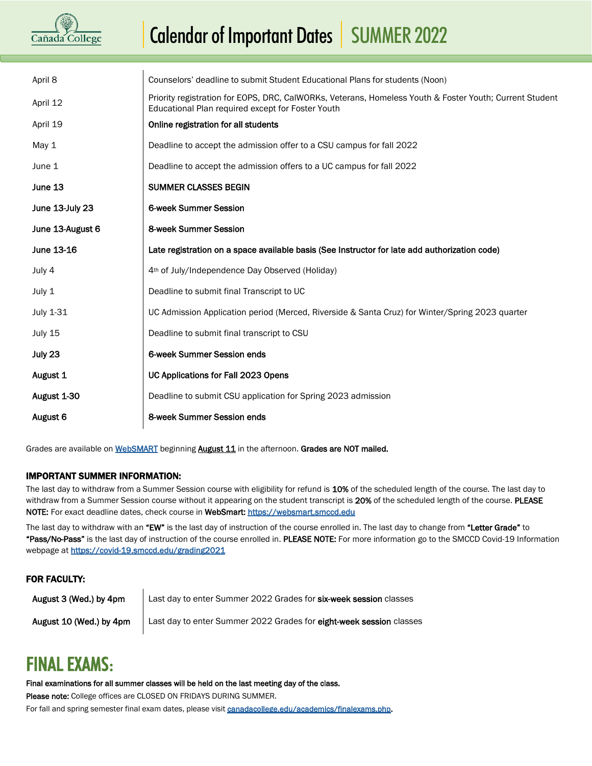# Cañada College

## Calendar of Important Dates | SUMMER 2022

| April 8          | Counselors' deadline to submit Student Educational Plans for students (Noon)                                                                                 |
|------------------|--------------------------------------------------------------------------------------------------------------------------------------------------------------|
| April 12         | Priority registration for EOPS, DRC, CalWORKs, Veterans, Homeless Youth & Foster Youth; Current Student<br>Educational Plan required except for Foster Youth |
| April 19         | Online registration for all students                                                                                                                         |
| May 1            | Deadline to accept the admission offer to a CSU campus for fall 2022                                                                                         |
| June 1           | Deadline to accept the admission offers to a UC campus for fall 2022                                                                                         |
| June 13          | SUMMER CLASSES BEGIN                                                                                                                                         |
| June 13-July 23  | 6-week Summer Session                                                                                                                                        |
| June 13-August 6 | 8-week Summer Session                                                                                                                                        |
| June 13-16       | Late registration on a space available basis (See Instructor for late add authorization code)                                                                |
| July 4           | 4 <sup>th</sup> of July/Independence Day Observed (Holiday)                                                                                                  |
| July 1           | Deadline to submit final Transcript to UC                                                                                                                    |
| July 1-31        | UC Admission Application period (Merced, Riverside & Santa Cruz) for Winter/Spring 2023 quarter                                                              |
| July 15          | Deadline to submit final transcript to CSU                                                                                                                   |
| July 23          | 6-week Summer Session ends                                                                                                                                   |
| August 1         | UC Applications for Fall 2023 Opens                                                                                                                          |
| August 1-30      | Deadline to submit CSU application for Spring 2023 admission                                                                                                 |
| August 6         | 8-week Summer Session ends                                                                                                                                   |
|                  |                                                                                                                                                              |

Grades are available o[n WebSMART](https://websmart.smccd.edu/) beginning **August 11** in the afternoon. Grades are NOT mailed.

#### IMPORTANT SUMMER INFORMATION:

The last day to withdraw from a Summer Session course with eligibility for refund is 10% of the scheduled length of the course. The last day to withdraw from a Summer Session course without it appearing on the student transcript is 20% of the scheduled length of the course. PLEASE NOTE: For exact deadline dates, check course in WebSmart: [https://websmart.smccd.edu](https://websmart.smccd.edu/)

The last day to withdraw with an "EW" is the last day of instruction of the course enrolled in. The last day to change from "Letter Grade" to "Pass/No-Pass" is the last day of instruction of the course enrolled in. PLEASE NOTE: For more information go to the SMCCD Covid-19 Information webpage at https://covid-19.smccd.edu/grading2021

#### FOR FACULTY:

August 3 (Wed.) by 4pm Last day to enter Summer 2022 Grades for six-week session classes August 10 (Wed.) by 4pm | Last day to enter Summer 2022 Grades for eight-week session classes

### FINAL EXAMS:

#### Final examinations for all summer classes will be held on the last meeting day of the class.

Please note: College offices are CLOSED ON FRIDAYS DURING SUMMER.

For fall and spring semester final exam dates, please visi[t canadacollege.edu/academics/finalexams.php.](https://canadacollege.edu/academics/finalexams.php)